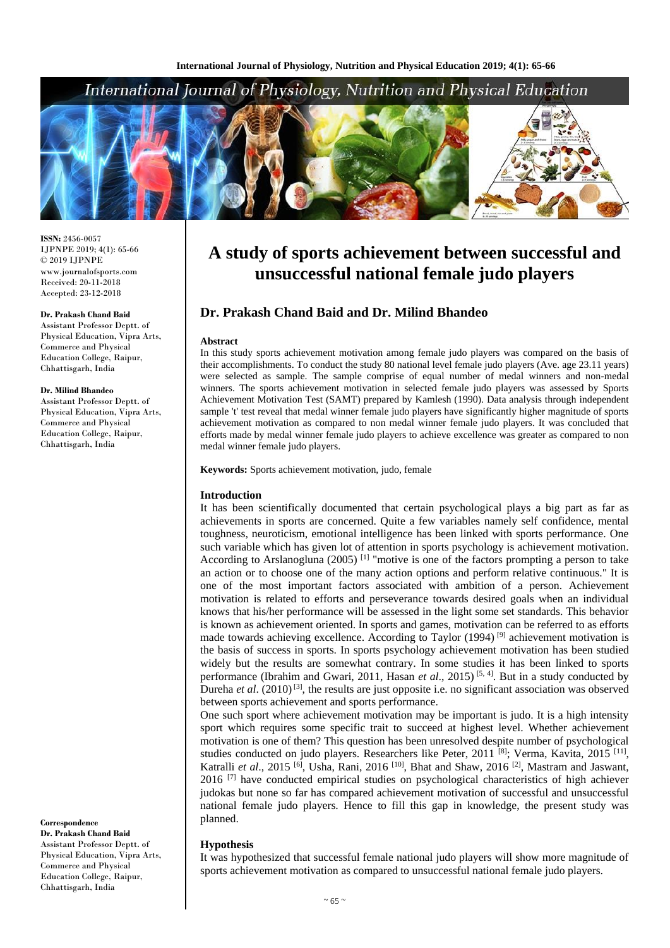## International Journal of Physiology, Nutrition and Physical Education



**ISSN:** 2456-0057 IJPNPE 2019; 4(1): 65-66  $\odot$  2019 IJPNPE www.journalofsports.com Received: 20-11-2018 Accepted: 23-12-2018

#### **Dr. Prakash Chand Baid**

Assistant Professor Deptt. of Physical Education, Vipra Arts, Commerce and Physical Education College, Raipur, Chhattisgarh, India

#### **Dr. Milind Bhandeo**

Assistant Professor Deptt. of Physical Education, Vipra Arts, Commerce and Physical Education College, Raipur, Chhattisgarh, India

**Correspondence Dr. Prakash Chand Baid** Assistant Professor Deptt. of Physical Education, Vipra Arts, Commerce and Physical Education College, Raipur, Chhattisgarh, India

# **A study of sports achievement between successful and unsuccessful national female judo players**

### **Dr. Prakash Chand Baid and Dr. Milind Bhandeo**

#### **Abstract**

In this study sports achievement motivation among female judo players was compared on the basis of their accomplishments. To conduct the study 80 national level female judo players (Ave. age 23.11 years) were selected as sample. The sample comprise of equal number of medal winners and non-medal winners. The sports achievement motivation in selected female judo players was assessed by Sports Achievement Motivation Test (SAMT) prepared by Kamlesh (1990). Data analysis through independent sample 't' test reveal that medal winner female judo players have significantly higher magnitude of sports achievement motivation as compared to non medal winner female judo players. It was concluded that efforts made by medal winner female judo players to achieve excellence was greater as compared to non medal winner female judo players.

**Keywords:** Sports achievement motivation, judo, female

#### **Introduction**

It has been scientifically documented that certain psychological plays a big part as far as achievements in sports are concerned. Quite a few variables namely self confidence, mental toughness, neuroticism, emotional intelligence has been linked with sports performance. One such variable which has given lot of attention in sports psychology is achievement motivation. According to Arslanogluna (2005)<sup>[1]</sup> "motive is one of the factors prompting a person to take an action or to choose one of the many action options and perform relative continuous." It is one of the most important factors associated with ambition of a person. Achievement motivation is related to efforts and perseverance towards desired goals when an individual knows that his/her performance will be assessed in the light some set standards. This behavior is known as achievement oriented. In sports and games, motivation can be referred to as efforts made towards achieving excellence. According to Taylor (1994)<sup>[9]</sup> achievement motivation is the basis of success in sports. In sports psychology achievement motivation has been studied widely but the results are somewhat contrary. In some studies it has been linked to sports performance (Ibrahim and Gwari, 2011, Hasan *et al.*, 2015)<sup>[5, 4]</sup>. But in a study conducted by Dureha *et al.* (2010)<sup>[3]</sup>, the results are just opposite i.e. no significant association was observed between sports achievement and sports performance.

One such sport where achievement motivation may be important is judo. It is a high intensity sport which requires some specific trait to succeed at highest level. Whether achievement motivation is one of them? This question has been unresolved despite number of psychological studies conducted on judo players. Researchers like Peter, 2011<sup>[8]</sup>; Verma, Kavita, 2015<sup>[11]</sup>, Katralli et al., 2015<sup>[6]</sup>, Usha, Rani, 2016<sup>[10]</sup>, Bhat and Shaw, 2016<sup>[2]</sup>, Mastram and Jaswant,  $2016$ <sup>[7]</sup> have conducted empirical studies on psychological characteristics of high achiever judokas but none so far has compared achievement motivation of successful and unsuccessful national female judo players. Hence to fill this gap in knowledge, the present study was planned.

#### **Hypothesis**

It was hypothesized that successful female national judo players will show more magnitude of sports achievement motivation as compared to unsuccessful national female judo players.